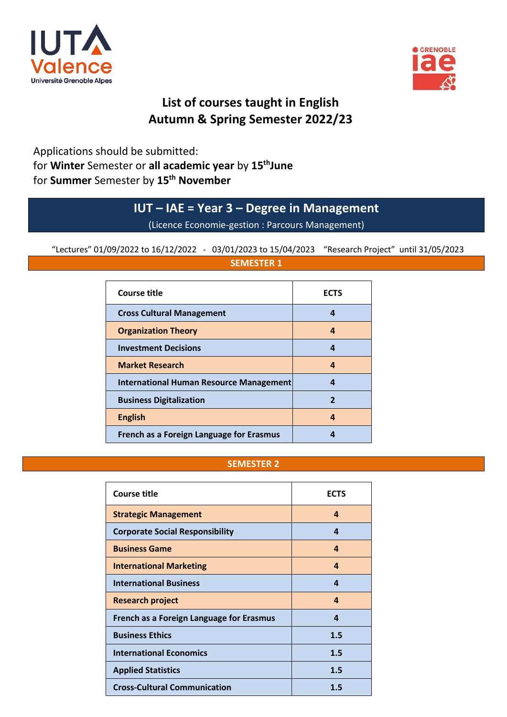



# **List of courses taught in English Autumn & Spring Semester 2022/23**

Applications should be submitted: for **Winter** Semester or **all academic year** by **15thJune** for **Summer** Semester by **15th November**

# **IUT – IAE = Year 3 – Degree in Management**

(Licence Economie-gestion : Parcours Management)

"Lectures" 01/09/2022 to 16/12/2022 - 03/01/2023 to 15/04/2023 "Research Project" until 31/05/2023

| <b>SEMESTER 1</b>                              |             |
|------------------------------------------------|-------------|
| <b>Course title</b>                            | <b>ECTS</b> |
| <b>Cross Cultural Management</b>               | 4           |
| <b>Organization Theory</b>                     | 4           |
| <b>Investment Decisions</b>                    | 4           |
| <b>Market Research</b>                         | 4           |
| <b>International Human Resource Management</b> | 4           |
| <b>Business Digitalization</b>                 | 2           |
| <b>English</b>                                 | 4           |
| French as a Foreign Language for Erasmus       |             |

#### **SEMESTER 2**

| <b>Course title</b>                      | <b>ECTS</b> |
|------------------------------------------|-------------|
| <b>Strategic Management</b>              | 4           |
| <b>Corporate Social Responsibility</b>   | 4           |
| <b>Business Game</b>                     | 4           |
| <b>International Marketing</b>           | 4           |
| <b>International Business</b>            | 4           |
| <b>Research project</b>                  | 4           |
| French as a Foreign Language for Erasmus | 4           |
| <b>Business Ethics</b>                   | 1.5         |
| <b>International Economics</b>           | 1.5         |
| <b>Applied Statistics</b>                | 1.5         |
| <b>Cross-Cultural Communication</b>      | 1.5         |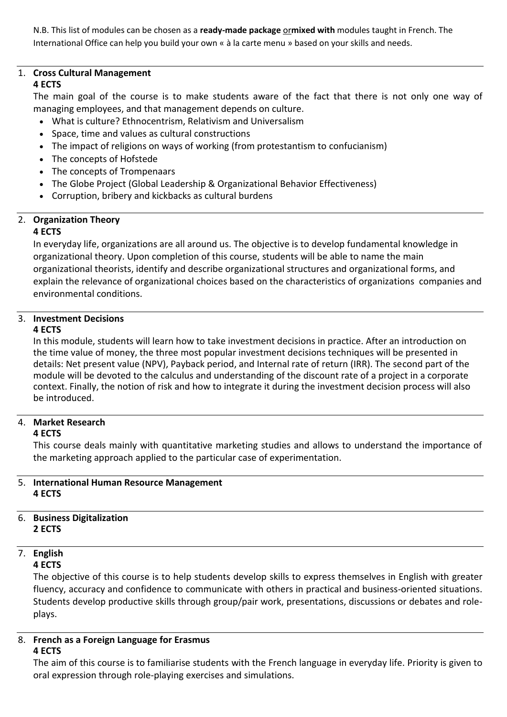N.B. This list of modules can be chosen as a **ready-made package** or**mixed with** modules taught in French. The International Office can help you build your own « à la carte menu » based on your skills and needs.

## <span id="page-1-0"></span>1. **Cross Cultural Management**

## **4 ECTS**

The main goal of the course is to make students aware of the fact that there is not only one way of managing employees, and that management depends on culture.

- What is culture? Ethnocentrism, Relativism and Universalism
- Space, time and values as cultural constructions
- The impact of religions on ways of working (from protestantism to confucianism)
- The concepts of Hofstede
- The concepts of Trompenaars
- The Globe Project (Global Leadership & Organizational Behavior Effectiveness)
- Corruption, bribery and kickbacks as cultural burdens

# <span id="page-1-1"></span>2. **Organization Theory**

#### **4 ECTS**

In everyday life, organizations are all around us. The objective is to develop fundamental knowledge in organizational theory. Upon completion of this course, students will be able to name the main organizational theorists, identify and describe organizational structures and organizational forms, and explain the relevance of organizational choices based on the characteristics of organizations companies and environmental conditions.

#### <span id="page-1-2"></span>3. **Investment Decisions 4 ECTS**

In this module, students will learn how to take investment decisions in practice. After an introduction on the time value of money, the three most popular investment decisions techniques will be presented in details: Net present value (NPV), Payback period, and Internal rate of return (IRR). The second part of the module will be devoted to the calculus and understanding of the discount rate of a project in a corporate context. Finally, the notion of risk and how to integrate it during the investment decision process will also be introduced.

# <span id="page-1-3"></span>4. **Market Research**

#### **4 ECTS**

This course deals mainly with quantitative marketing studies and allows to understand the importance of the marketing approach applied to the particular case of experimentation.

#### <span id="page-1-4"></span>5. **International Human Resource Management 4 ECTS**

#### <span id="page-1-5"></span>6. **Business Digitalization 2 ECTS**

# <span id="page-1-6"></span>7. **English**

#### **4 ECTS**

The objective of this course is to help students develop skills to express themselves in English with greater fluency, accuracy and confidence to communicate with others in practical and business-oriented situations. Students develop productive skills through group/pair work, presentations, discussions or debates and roleplays.

#### <span id="page-1-7"></span>8. **French as a Foreign Language for Erasmus 4 ECTS**

The aim of this course is to familiarise students with the French language in everyday life. Priority is given to oral expression through role-playing exercises and simulations.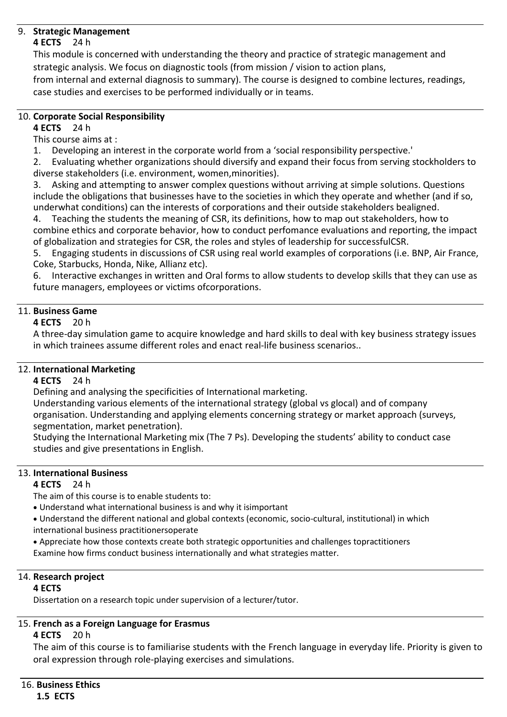#### <span id="page-2-0"></span>9. **Strategic Management**

#### **4 ECTS** 24 h

This module is concerned with understanding the theory and practice of strategic management and strategic analysis. We focus on diagnostic tools (from mission / vision to action plans,

from internal and external diagnosis to summary). The course is designed to combine lectures, readings, case studies and exercises to be performed individually or in teams.

#### <span id="page-2-1"></span>10. **Corporate Social Responsibility**

**4 ECTS** 24 h

This course aims at :

1. Developing an interest in the corporate world from a 'social responsibility perspective.'

2. Evaluating whether organizations should diversify and expand their focus from serving stockholders to diverse stakeholders (i.e. environment, women,minorities).

3. Asking and attempting to answer complex questions without arriving at simple solutions. Questions include the obligations that businesses have to the societies in which they operate and whether (and if so, underwhat conditions) can the interests of corporations and their outside stakeholders bealigned.

4. Teaching the students the meaning of CSR, its definitions, how to map out stakeholders, how to combine ethics and corporate behavior, how to conduct perfomance evaluations and reporting, the impact of globalization and strategies for CSR, the roles and styles of leadership for successfulCSR.

5. Engaging students in discussions of CSR using real world examples of corporations (i.e. BNP, Air France, Coke, Starbucks, Honda, Nike, Allianz etc).

6. Interactive exchanges in written and Oral forms to allow students to develop skills that they can use as future managers, employees or victims ofcorporations.

### <span id="page-2-2"></span>11. **Business Game**

#### **4 ECTS** 20 h

A three-day simulation game to acquire knowledge and hard skills to deal with key business strategy issues in which trainees assume different roles and enact real-life business scenarios..

#### <span id="page-2-3"></span>12. **International Marketing**

#### **4 ECTS** 24 h

Defining and analysing the specificities of International marketing.

Understanding various elements of the international strategy (global vs glocal) and of company organisation. Understanding and applying elements concerning strategy or market approach (surveys, segmentation, market penetration).

Studying the International Marketing mix (The 7 Ps). Developing the students' ability to conduct case studies and give presentations in English.

#### <span id="page-2-4"></span>13. **International Business**

#### **4 ECTS** 24 h

The aim of this course is to enable students to:

• Understand what international business is and why it isimportant

• Understand the different national and global contexts (economic, socio-cultural, institutional) in which international business practitionersoperate

• Appreciate how those contexts create both strategic opportunities and challenges topractitioners Examine how firms conduct business internationally and what strategies matter.

# <span id="page-2-5"></span>14. **Research project**

#### **4 ECTS**

Dissertation on a research topic under supervision of a lecturer/tutor.

## <span id="page-2-6"></span>15. **French as a Foreign Language for Erasmus**

#### **4 ECTS** 20 h

The aim of this course is to familiarise students with the French language in everyday life. Priority is given to oral expression through role-playing exercises and simulations.